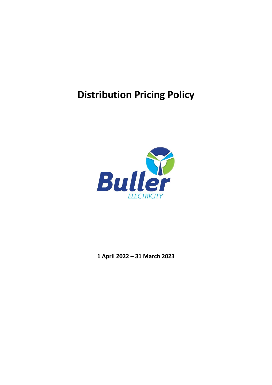# **Distribution Pricing Policy**



**1 April 2022 – 31 March 2023**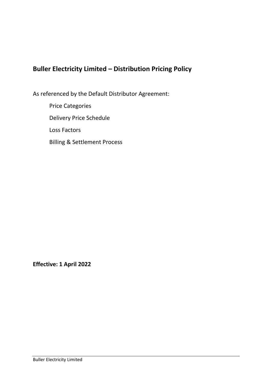# **Buller Electricity Limited – Distribution Pricing Policy**

As referenced by the Default Distributor Agreement:

Price Categories Delivery Price Schedule Loss Factors Billing & Settlement Process

**Effective: 1 April 2022**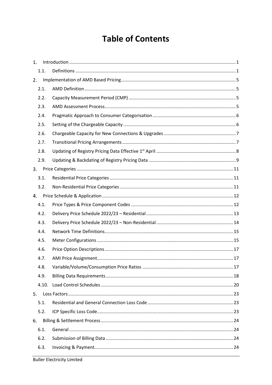# **Table of Contents**

| 1.    |  |
|-------|--|
| 1.1.  |  |
| 2.    |  |
| 2.1.  |  |
| 2.2.  |  |
| 2.3.  |  |
| 2.4.  |  |
| 2.5.  |  |
| 2.6.  |  |
| 2.7.  |  |
| 2.8.  |  |
| 2.9.  |  |
| 3.    |  |
| 3.1.  |  |
| 3.2.  |  |
| 4.    |  |
| 4.1.  |  |
| 4.2.  |  |
| 4.3.  |  |
| 4.4.  |  |
| 4.5.  |  |
| 4.6.  |  |
| 4.7.  |  |
| 4.8.  |  |
| 4.9.  |  |
| 4.10. |  |
| 5.    |  |
| 5.1.  |  |
| 5.2.  |  |
| 6.    |  |
| 6.1.  |  |
| 6.2.  |  |
| 6.3.  |  |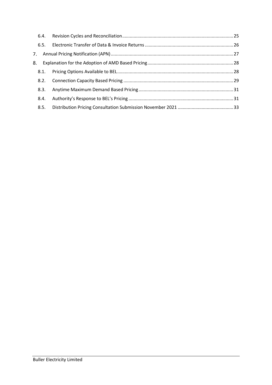| 6.5. |  |
|------|--|
|      |  |
| 8.   |  |
| 8.1. |  |
|      |  |
| 8.3. |  |
| 8.4. |  |
| 8.5. |  |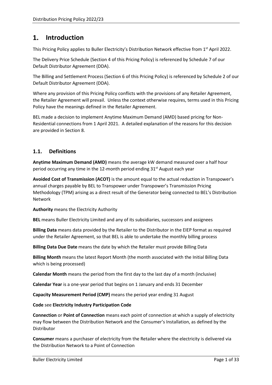#### <span id="page-4-0"></span>**Introduction**  $1.$

This Pricing Policy applies to Buller Electricity's Distribution Network effective from 1<sup>st</sup> April 2022.

The Delivery Price Schedule (Sectio[n 4](#page-15-0) of this Pricing Policy) is referenced by Schedule 7 of our Default Distributor Agreement (DDA).

The Billing and Settlement Process (Sectio[n 6](#page-27-0) of this Pricing Policy) is referenced by Schedule 2 of our Default Distributor Agreement (DDA).

Where any provision of this Pricing Policy conflicts with the provisions of any Retailer Agreement, the Retailer Agreement will prevail. Unless the context otherwise requires, terms used in this Pricing Policy have the meanings defined in the Retailer Agreement.

BEL made a decision to implement Anytime Maximum Demand (AMD) based pricing for Non-Residential connections from 1 April 2021. A detailed explanation of the reasons for this decision are provided in Sectio[n 8.](#page-31-0)

# <span id="page-4-1"></span>**1.1. Definitions**

**Anytime Maximum Demand (AMD)** means the average kW demand measured over a half hour period occurring any time in the 12-month period ending 31<sup>st</sup> August each year

**Avoided Cost of Transmission (ACOT)** is the amount equal to the actual reduction in Transpower's annual charges payable by BEL to Transpower under Transpower's Transmission Pricing Methodology (TPM) arising as a direct result of the Generator being connected to BEL's Distribution Network

**Authority** means the Electricity Authority

**BEL** means Buller Electricity Limited and any of its subsidiaries, successors and assignees

**Billing Data** means data provided by the Retailer to the Distributor in the EIEP format as required under the Retailer Agreement, so that BEL is able to undertake the monthly billing process

**Billing Data Due Date** means the date by which the Retailer must provide Billing Data

**Billing Month** means the latest Report Month (the month associated with the Initial Billing Data which is being processed)

**Calendar Month** means the period from the first day to the last day of a month (inclusive)

**Calendar Year** is a one-year period that begins on 1 January and ends 31 December

**Capacity Measurement Period (CMP)** means the period year ending 31 August

**Code** see **Electricity Industry Participation Code**

**Connection** or **Point of Connection** means each point of connection at which a supply of electricity may flow between the Distribution Network and the Consumer's Installation, as defined by the Distributor

**Consumer** means a purchaser of electricity from the Retailer where the electricity is delivered via the Distribution Network to a Point of Connection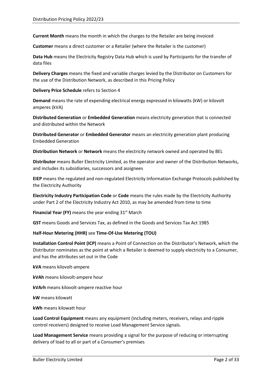**Current Month** means the month in which the charges to the Retailer are being invoiced

**Customer** means a direct customer or a Retailer (where the Retailer is the customer)

**Data Hub** means the Electricity Registry Data Hub which is used by Participants for the transfer of data files

**Delivery Charges** means the fixed and variable charges levied by the Distributor on Customers for the use of the Distribution Network, as described in this Pricing Policy

**Delivery Price Schedule** refers to Sectio[n 4](#page-15-0)

**Demand** means the rate of expending electrical energy expressed in kilowatts (kW) or kilovolt amperes (kVA)

**Distributed Generation** or **Embedded Generation** means electricity generation that is connected and distributed within the Network

**Distributed Generator** or **Embedded Generator** means an electricity generation plant producing Embedded Generation

**Distribution Network** or **Network** means the electricity network owned and operated by BEL

**Distributor** means Buller Electricity Limited, as the operator and owner of the Distribution Networks, and includes its subsidiaries, successors and assignees

**EIEP** means the regulated and non-regulated Electricity Information Exchange Protocols published by the Electricity Authority

**Electricity Industry Participation Code** or **Code** means the rules made by the Electricity Authority under Part 2 of the Electricity Industry Act 2010, as may be amended from time to time

Financial Year (FY) means the year ending 31<sup>st</sup> March

**GST** means Goods and Services Tax, as defined in the Goods and Services Tax Act 1985

#### **Half-Hour Metering (HHR)** see **Time-Of-Use Metering (TOU)**

**Installation Control Point (ICP)** means a Point of Connection on the Distributor's Network, which the Distributor nominates as the point at which a Retailer is deemed to supply electricity to a Consumer, and has the attributes set out in the Code

**kVA** means kilovolt-ampere

**kVAh** means kilovolt-ampere hour

**kVArh** means kilovolt-ampere reactive hour

**kW** means kilowatt

**kWh** means kilowatt hour

**Load Control Equipment** means any equipment (including meters, receivers, relays and ripple control receivers) designed to receive Load Management Service signals.

**Load Management Service** means providing a signal for the purpose of reducing or interrupting delivery of load to all or part of a Consumer's premises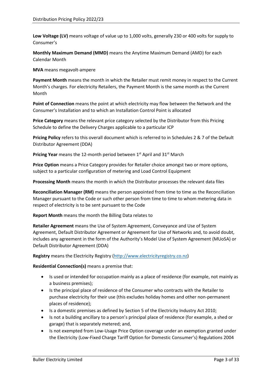**Low Voltage (LV)** means voltage of value up to 1,000 volts, generally 230 or 400 volts for supply to Consumer's

**Monthly Maximum Demand (MMD)** means the Anytime Maximum Demand (AMD) for each Calendar Month

**MVA** means megavolt-ampere

**Payment Month** means the month in which the Retailer must remit money in respect to the Current Month's charges. For electricity Retailers, the Payment Month is the same month as the Current Month

**Point of Connection** means the point at which electricity may flow between the Network and the Consumer's Installation and to which an Installation Control Point is allocated

**Price Category** means the relevant price category selected by the Distributor from this Pricing Schedule to define the Delivery Charges applicable to a particular ICP

**Pricing Policy** refers to this overall document which is referred to in Schedules 2 & 7 of the Default Distributor Agreement (DDA)

Pricing Year means the 12-month period between 1<sup>st</sup> April and 31<sup>st</sup> March

**Price Option** means a Price Category provides for Retailer choice amongst two or more options, subject to a particular configuration of metering and Load Control Equipment

**Processing Month** means the month in which the Distributor processes the relevant data files

**Reconciliation Manager (RM)** means the person appointed from time to time as the Reconciliation Manager pursuant to the Code or such other person from time to time to whom metering data in respect of electricity is to be sent pursuant to the Code

#### **Report Month** means the month the Billing Data relates to

**Retailer Agreement** means the Use of System Agreement, Conveyance and Use of System Agreement, Default Distributor Agreement or Agreement for Use of Networks and, to avoid doubt, includes any agreement in the form of the Authority's Model Use of System Agreement (MUoSA) or Default Distributor Agreement (DDA)

**Registry** means the Electricity Registry [\(http://www.electricityregistry.co.nz\)](http://www.electricityregistry.co.nz/)

**Residential Connection(s)** means a premise that:

- Is used or intended for occupation mainly as a place of residence (for example, not mainly as a business premises);
- Is the principal place of residence of the Consumer who contracts with the Retailer to purchase electricity for their use (this excludes holiday homes and other non-permanent places of residence);
- Is a domestic premises as defined by Section 5 of the Electricity Industry Act 2010;
- Is not a building ancillary to a person's principal place of residence (for example, a shed or garage) that is separately metered; and,
- Is not exempted from Low-Usage Price Option coverage under an exemption granted under the Electricity (Low-Fixed Charge Tariff Option for Domestic Consumer's) Regulations 2004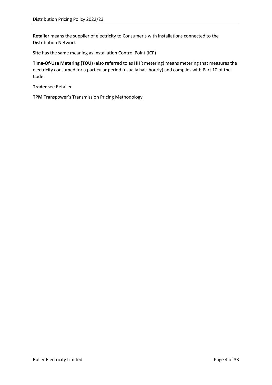**Retailer** means the supplier of electricity to Consumer's with installations connected to the Distribution Network

**Site** has the same meaning as Installation Control Point (ICP)

**Time-Of-Use Metering (TOU)** (also referred to as HHR metering) means metering that measures the electricity consumed for a particular period (usually half-hourly) and complies with Part 10 of the Code

**Trader** see Retailer

**TPM** Transpower's Transmission Pricing Methodology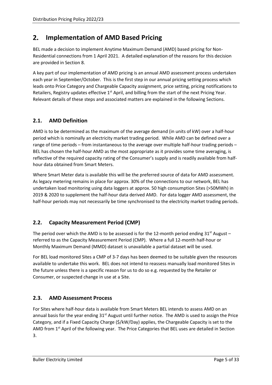#### <span id="page-8-0"></span> $2.$ **Implementation of AMD Based Pricing**

BEL made a decision to implement Anytime Maximum Demand (AMD) based pricing for Non-Residential connections from 1 April 2021. A detailed explanation of the reasons for this decision are provided in Sectio[n 8.](#page-31-0)

A key part of our implementation of AMD pricing is an annual AMD assessment process undertaken each year in September/October. This is the first step in our annual pricing setting process which leads onto Price Category and Chargeable Capacity assignment, price setting, pricing notifications to Retailers, Registry updates effective  $1<sup>st</sup>$  April, and billing from the start of the next Pricing Year. Relevant details of these steps and associated matters are explained in the following Sections.

# <span id="page-8-1"></span>**2.1. AMD Definition**

AMD is to be determined as the maximum of the average demand (in units of kW) over a half-hour period which is nominally an electricity market trading period. While AMD can be defined over a range of time periods – from instantaneous to the average over multiple half-hour trading periods – BEL has chosen the half-hour AMD as the most appropriate as it provides some time averaging, is reflective of the required capacity rating of the Consumer's supply and is readily available from halfhour data obtained from Smart Meters.

Where Smart Meter data is available this will be the preferred source of data for AMD assessment. As legacy metering remains in place for approx. 30% of the connections to our network, BEL has undertaken load monitoring using data loggers at approx. 50 high consumption Sites (>50MWh) in 2019 & 2020 to supplement the half-hour data derived AMD. For data logger AMD assessment, the half-hour periods may not necessarily be time synchronised to the electricity market trading periods.

# <span id="page-8-2"></span>**2.2. Capacity Measurement Period (CMP)**

The period over which the AMD is to be assessed is for the 12-month period ending  $31<sup>st</sup>$  August – referred to as the Capacity Measurement Period (CMP). Where a full 12-month half-hour or Monthly Maximum Demand (MMD) dataset is unavailable a partial dataset will be used.

For BEL load monitored Sites a CMP of 3-7 days has been deemed to be suitable given the resources available to undertake this work. BEL does not intend to reassess manually load monitored Sites in the future unless there is a specific reason for us to do so e.g. requested by the Retailer or Consumer, or suspected change in use at a Site.

## <span id="page-8-3"></span>**2.3. AMD Assessment Process**

For Sites where half-hour data is available from Smart Meters BEL intends to assess AMD on an annual basis for the year ending  $31<sup>st</sup>$  August until further notice. The AMD is used to assign the Price Category, and if a Fixed Capacity Charge (\$/kW/Day) applies, the Chargeable Capacity is set to the AMD from  $1<sup>st</sup>$  April of the following year. The Price Categories that BEL uses are detailed in Section [3.](#page-14-0)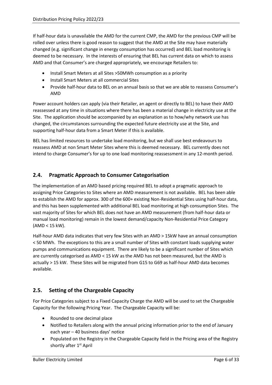If half-hour data is unavailable the AMD for the current CMP, the AMD for the previous CMP will be rolled over unless there is good reason to suggest that the AMD at the Site may have materially changed (e.g. significant change in energy consumption has occurred) and BEL load monitoring is deemed to be necessary. In the interests of ensuring that BEL has current data on which to assess AMD and that Consumer's are charged appropriately, we encourage Retailers to:

- Install Smart Meters at all Sites >50MWh consumption as a priority
- Install Smart Meters at all commercial Sites
- Provide half-hour data to BEL on an annual basis so that we are able to reassess Consumer's AMD

Power account holders can apply (via their Retailer, an agent or directly to BEL) to have their AMD reassessed at any time in situations where there has been a material change in electricity use at the Site. The application should be accompanied by an explanation as to how/why network use has changed, the circumstances surrounding the expected future electricity use at the Site, and supporting half-hour data from a Smart Meter if this is available.

BEL has limited resources to undertake load monitoring, but we shall use best endeavours to reassess AMD at non Smart Meter Sites where this is deemed necessary.BEL currently does not intend to charge Consumer's for up to one load monitoring reassessment in any 12-month period.

## <span id="page-9-0"></span>**2.4. Pragmatic Approach to Consumer Categorisation**

The implementation of an AMD based pricing required BEL to adopt a pragmatic approach to assigning Price Categories to Sites where an AMD measurement is not available. BEL has been able to establish the AMD for approx. 300 of the 600+ existing Non-Residential Sites using half-hour data, and this has been supplemented with additional BEL load monitoring at high consumption Sites. The vast majority of Sites for which BEL does not have an AMD measurement (from half-hour data or manual load monitoring) remain in the lowest demand/capacity Non-Residential Price Category (AMD < 15 kW).

Half-hour AMD data indicates that very few Sites with an AMD > 15kW have an annual consumption < 50 MWh. The exceptions to this are a small number of Sites with constant loads supplying water pumps and communications equipment. There are likely to be a significant number of Sites which are currently categorised as AMD < 15 kW as the AMD has not been measured, but the AMD is actually > 15 kW. These Sites will be migrated from G15 to G69 as half-hour AMD data becomes available.

## <span id="page-9-1"></span>**2.5. Setting of the Chargeable Capacity**

For Price Categories subject to a Fixed Capacity Charge the AMD will be used to set the Chargeable Capacity for the following Pricing Year. The Chargeable Capacity will be:

- Rounded to one decimal place
- Notified to Retailers along with the annual pricing information prior to the end of January each year – 40 business days' notice
- Populated on the Registry in the Chargeable Capacity field in the Pricing area of the Registry shortly after 1<sup>st</sup> April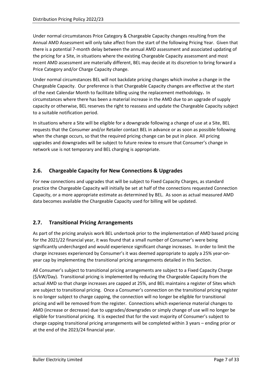Under normal circumstances Price Category & Chargeable Capacity changes resulting from the Annual AMD Assessment will only take affect from the start of the following Pricing Year. Given that there is a potential 7-month delay between the annual AMD assessment and associated updating of the pricing for a Site, in situations where the existing Chargeable Capacity assessment and most recent AMD assessment are materially different, BEL may decide at its discretion to bring forward a Price Category and/or Charge Capacity change.

Under normal circumstances BEL will not backdate pricing changes which involve a change in the Chargeable Capacity. Our preference is that Chargeable Capacity changes are effective at the start of the next Calendar Month to facilitate billing using the replacement methodology**.** In circumstances where there has been a material increase in the AMD due to an upgrade of supply capacity or otherwise, BEL reserves the right to reassess and update the Chargeable Capacity subject to a suitable notification period.

In situations where a Site will be eligible for a downgrade following a change of use at a Site, BEL requests that the Consumer and/or Retailer contact BEL in advance or as soon as possible following when the change occurs, so that the required pricing change can be put in place. All pricing upgrades and downgrades will be subject to future review to ensure that Consumer's change in network use is not temporary and BEL charging is appropriate.

# <span id="page-10-0"></span>**2.6. Chargeable Capacity for New Connections & Upgrades**

For new connections and upgrades that will be subject to Fixed Capacity Charges, as standard practice the Chargeable Capacity will initially be set at half of the connections requested Connection Capacity, or a more appropriate estimate as determined by BEL. As soon as actual measured AMD data becomes available the Chargeable Capacity used for billing will be updated.

## <span id="page-10-1"></span>**2.7. Transitional Pricing Arrangements**

As part of the pricing analysis work BEL undertook prior to the implementation of AMD based pricing for the 2021/22 financial year, it was found that a small number of Consumer's were being significantly undercharged and would experience significant change increases. In order to limit the charge increases experienced by Consumer's it was deemed appropriate to apply a 25% year-onyear cap by implementing the transitional pricing arrangements detailed in this Section.

All Consumer's subject to transitional pricing arrangements are subject to a Fixed Capacity Charge (\$/kW/Day). Transitional pricing is implemented by reducing the Chargeable Capacity from the actual AMD so that charge increases are capped at 25%, and BEL maintains a register of Sites which are subject to transitional pricing. Once a Consumer's connection on the transitional pricing register is no longer subject to charge capping, the connection will no longer be eligible for transitional pricing and will be removed from the register. Connections which experience material changes to AMD (increase or decrease) due to upgrades/downgrades or simply change of use will no longer be eligible for transitional pricing. It is expected that for the vast majority of Consumer's subject to charge capping transitional pricing arrangements will be completed within 3 years – ending prior or at the end of the 2023/24 financial year.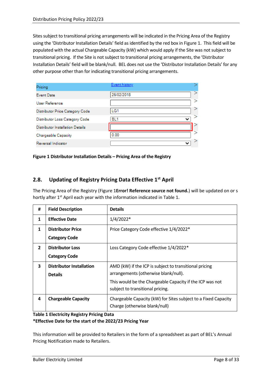Sites subject to transitional pricing arrangements will be indicated in the Pricing Area of the Registry using the 'Distributor Installation Details' field as identified by the red box in [Figure 1.](#page-11-1) This field will be populated with the actual Chargeable Capacity (kW) which would apply if the Site was not subject to transitional pricing. If the Site is not subject to transitional pricing arrangements, the 'Distributor Installation Details' field will be blank/null. BEL does not use the 'Distributor Installation Details' for any other purpose other than for indicating transitional pricing arrangements.

| Pricing                                 | Event history |   |
|-----------------------------------------|---------------|---|
| <b>Event Date</b>                       | 26/02/2018    |   |
| User Reference                          |               | ⋗ |
| Distributor Price Category Code         | LG1           |   |
| Distributor Loss Category Code          | BL1           |   |
| <b>Distributor Installation Details</b> |               |   |
| Chargeable Capacity                     | 0.00          |   |
| Reversal Indicator                      |               |   |

<span id="page-11-1"></span>**Figure 1 Distributor Installation Details – Pricing Area of the Registry**

#### <span id="page-11-0"></span>**2.8. Updating of Registry Pricing Data Effective 1st April**

The Pricing Area of the Registry [\(Figure 1](#page-11-1)**Error! Reference source not found.**) will be updated on or s hortly after 1<sup>st</sup> April each year with the information indicated i[n Table 1.](#page-11-2)

| #              | <b>Field Description</b>                          | <b>Details</b>                                                                                                                                                                                 |
|----------------|---------------------------------------------------|------------------------------------------------------------------------------------------------------------------------------------------------------------------------------------------------|
| 1              | <b>Effective Date</b>                             | $1/4/2022*$                                                                                                                                                                                    |
| 1              | <b>Distributor Price</b><br><b>Category Code</b>  | Price Category Code effective 1/4/2022*                                                                                                                                                        |
| $\overline{2}$ | <b>Distributor Loss</b><br><b>Category Code</b>   | Loss Category Code effective 1/4/2022*                                                                                                                                                         |
| 3              | <b>Distributor Installation</b><br><b>Details</b> | AMD (kW) if the ICP is subject to transitional pricing<br>arrangements (otherwise blank/null).<br>This would be the Chargeable Capacity if the ICP was not<br>subject to transitional pricing. |
| 4              | <b>Chargeable Capacity</b>                        | Chargeable Capacity (kW) for Sites subject to a Fixed Capacity<br>Charge (otherwise blank/null)                                                                                                |

<span id="page-11-2"></span>**Table 1 Electricity Registry Pricing Data**

**\*Effective Date for the start of the 2022/23 Pricing Year**

This information will be provided to Retailers in the form of a spreadsheet as part of BEL's Annual Pricing Notification made to Retailers.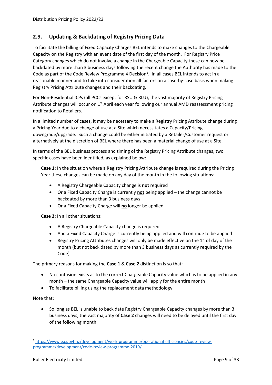#### <span id="page-12-0"></span>**2.9. Updating & Backdating of Registry Pricing Data**

To facilitate the billing of Fixed Capacity Charges BEL intends to make changes to the Chargeable Capacity on the Registry with an event date of the first day of the month. For Registry Price Category changes which do not involve a change in the Chargeable Capacity these can now be backdated by more than 3 business days following the recent change the Authority has made to the Code as part of the Code Review Programme 4 Decision<sup>1</sup>. In all cases BEL intends to act in a reasonable manner and to take into consideration all factors on a case-by-case basis when making Registry Pricing Attribute changes and their backdating.

For Non-Residential ICPs (all PCCs except for RSU & RLU), the vast majority of Registry Pricing Attribute changes will occur on 1<sup>st</sup> April each year following our annual AMD reassessment pricing notification to Retailers.

In a limited number of cases, it may be necessary to make a Registry Pricing Attribute change during a Pricing Year due to a change of use at a Site which necessitates a Capacity/Pricing downgrade/upgrade. Such a change could be either initiated by a Retailer/Customer request or alternatively at the discretion of BEL where there has been a material change of use at a Site.

In terms of the BEL business process and timing of the Registry Pricing Attribute changes, two specific cases have been identified, as explained below:

**Case 1:** In the situation where a Registry Pricing Attribute change is required during the Pricing Year these changes can be made on any day of the month in the following situations:

- A Registry Chargeable Capacity change is **not** required
- Or a Fixed Capacity Charge is currently **not** being applied the change cannot be backdated by more than 3 business days
- Or a Fixed Capacity Charge will **no** longer be applied

**Case 2:** In all other situations:

- A Registry Chargeable Capacity change is required
- And a Fixed Capacity Charge is currently being applied and will continue to be applied
- Registry Pricing Attributes changes will only be made effective on the  $1<sup>st</sup>$  of day of the month (but not back dated by more than 3 business days as currently required by the Code)

The primary reasons for making the **Case 1** & **Case 2** distinction is so that:

- No confusion exists as to the correct Chargeable Capacity value which is to be applied in any month – the same Chargeable Capacity value will apply for the entire month
- To facilitate billing using the replacement data methodology

Note that:

• So long as BEL is unable to back date Registry Chargeable Capacity changes by more than 3 business days, the vast majority of **Case 2** changes will need to be delayed until the first day of the following month

<sup>1</sup> [https://www.ea.govt.nz/development/work-programme/operational-efficiencies/code-review](https://www.ea.govt.nz/development/work-programme/operational-efficiencies/code-review-programme/development/code-review-programme-2019/)[programme/development/code-review-programme-2019/](https://www.ea.govt.nz/development/work-programme/operational-efficiencies/code-review-programme/development/code-review-programme-2019/)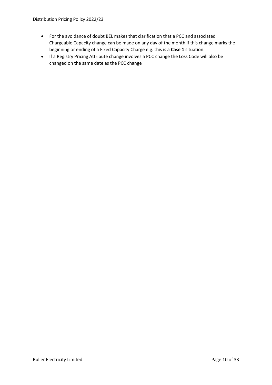- For the avoidance of doubt BEL makes that clarification that a PCC and associated Chargeable Capacity change can be made on any day of the month if this change marks the beginning or ending of a Fixed Capacity Charge e.g. this is a **Case 1** situation
- If a Registry Pricing Attribute change involves a PCC change the Loss Code will also be changed on the same date as the PCC change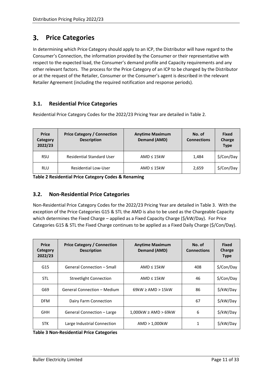#### <span id="page-14-0"></span> $3.$ **Price Categories**

In determining which Price Category should apply to an ICP, the Distributor will have regard to the Consumer's Connection, the information provided by the Consumer or their representative with respect to the expected load, the Consumer's demand profile and Capacity requirements and any other relevant factors. The process for the Price Category of an ICP to be changed by the Distributor or at the request of the Retailer, Consumer or the Consumer's agent is described in the relevant Retailer Agreement (including the required notification and response periods).

## <span id="page-14-1"></span>**3.1. Residential Price Categories**

Residential Price Category Codes for the 2022/23 Pricing Year are detailed in [Table 2.](#page-14-3)

| <b>Price</b><br>Category<br>2022/23 | <b>Price Category / Connection</b><br><b>Description</b> | <b>Anytime Maximum</b><br><b>Demand (AMD)</b> | No. of<br><b>Connections</b> | <b>Fixed</b><br>Charge<br><b>Type</b> |
|-------------------------------------|----------------------------------------------------------|-----------------------------------------------|------------------------------|---------------------------------------|
| <b>RSU</b>                          | <b>Residential Standard User</b>                         | $AMD \leq 15kW$                               | 1.484                        | \$/Con/Day                            |
| <b>RLU</b>                          | <b>Residential Low-User</b>                              | $AMD \leq 15kW$                               | 2,659                        | \$/Con/Day                            |

<span id="page-14-3"></span>**Table 2 Residential Price Category Codes & Renaming**

## <span id="page-14-2"></span>**3.2. Non-Residential Price Categories**

Non-Residential Price Category Codes for the 2022/23 Pricing Year are detailed in [Table 3.](#page-14-4) With the exception of the Price Categories G15 & STL the AMD is also to be used as the Chargeable Capacity which determines the Fixed Charge – applied as a Fixed Capacity Charge (\$/kW/Day). For Price Categories G15 & STL the Fixed Charge continues to be applied as a Fixed Daily Charge (\$/Con/Day).

| <b>Price</b><br>Category<br>2022/23 | <b>Price Category / Connection</b><br><b>Description</b> | <b>Anytime Maximum</b><br>Demand (AMD) | No. of<br><b>Connections</b> | <b>Fixed</b><br>Charge<br><b>Type</b> |
|-------------------------------------|----------------------------------------------------------|----------------------------------------|------------------------------|---------------------------------------|
| G15                                 | General Connection - Small                               | AMD $\leq 15$ kW                       | 408                          | \$/Con/Day                            |
| <b>STL</b>                          | <b>Streetlight Connection</b>                            | $AMD \leq 15kW$                        | 46                           | \$/Con/Day                            |
| G69                                 | <b>General Connection - Medium</b>                       | $69kW \geq AMD > 15kW$                 | 86                           | \$/kW/Day                             |
| <b>DFM</b>                          | Dairy Farm Connection                                    |                                        | 67                           | \$/kW/Day                             |
| <b>GHH</b>                          | General Connection - Large                               | $1,000$ kW $\geq$ AMD $>$ 69kW         | 6                            | \$/kW/Day                             |
| <b>STK</b>                          | Large Industrial Connection                              | AMD > 1,000kW                          | 1                            | \$/kW/Day                             |

<span id="page-14-4"></span>**Table 3 Non-Residential Price Categories**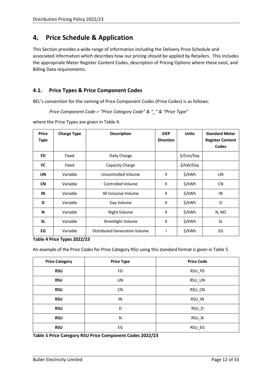#### <span id="page-15-0"></span>**Price Schedule & Application**  4.

This Section provides a wide range of information including the Delivery Price Schedule and associated information which describes how our pricing should be applied by Retailers. This includes the appropriate Meter Register Content Codes, description of Pricing Options where these exist, and Billing Data requirements.

## <span id="page-15-1"></span>**4.1. Price Types & Price Component Codes**

BEL's convention for the naming of Price Component Codes (Price Codes) is as follows:

*Price Component Code = "Price Category Code" & "\_" & "Price Type"*

where the Price Types are given i[n Table 4.](#page-15-2)

| <b>Price</b><br><b>Type</b> | <b>Charge Type</b> | <b>Units</b><br><b>EIEP</b><br><b>Description</b><br><b>Direction</b> |   | <b>Standard Meter</b><br><b>Register Content</b><br>Codes |           |
|-----------------------------|--------------------|-----------------------------------------------------------------------|---|-----------------------------------------------------------|-----------|
| <b>FD</b>                   | Fixed              | Daily Charge                                                          |   | \$/Con/Day                                                |           |
| <b>FC</b>                   | Fixed              | Capacity Charge                                                       |   | \$/kW/Day                                                 |           |
| <b>UN</b>                   | Variable           | Uncontrolled Volume                                                   | X | \$/kWh                                                    | <b>UN</b> |
| <b>CN</b>                   | Variable           | <b>Controlled Volume</b>                                              | X | \$/kWh                                                    | <b>CN</b> |
| IN                          | Variable           | All Inclusive Volume                                                  | X | \$/kWh                                                    | IN        |
| D                           | Variable           | Day Volume                                                            | X | \$/kWh                                                    | D         |
| N                           | Variable           | Night Volume                                                          | X | \$/kWh                                                    | N, NO     |
| <b>SL</b>                   | Variable           | Streetlight Volume                                                    | X | \$/kWh                                                    | <b>SL</b> |
| EG                          | Variable           | Distributed Generation Volume                                         |   | \$/kWh                                                    | EG        |

<span id="page-15-2"></span>**Table 4 Price Types 2022/23**

An example of the Price Codes for Price Category RSU using this standard format is given in [Table 5.](#page-15-3)

| <b>Price Category</b> | <b>Price Type</b> | <b>Price Code</b> |
|-----------------------|-------------------|-------------------|
| <b>RSU</b>            | <b>FD</b>         | RSU_FD            |
| <b>RSU</b>            | <b>UN</b>         | RSU_UN            |
| <b>RSU</b>            | <b>CN</b>         | RSU_CN            |
| <b>RSU</b>            | IN                | RSU_IN            |
| <b>RSU</b>            | D                 | RSU_D             |
| <b>RSU</b>            | N                 | RSU_N             |
| <b>RSU</b>            | EG                | RSU_EG            |

<span id="page-15-3"></span>**Table 5 Price Category RSU Price Component Codes 2022/23**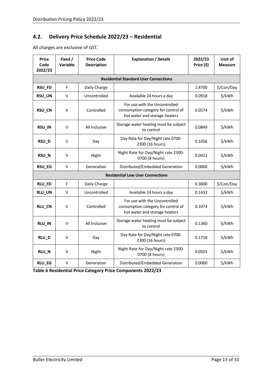#### <span id="page-16-0"></span>**4.2. Delivery Price Schedule 2022/23 – Residential**

All charges are exclusive of GST.

| <b>Price</b><br>Code<br>2022/23 | Fixed /<br>Variable | <b>Price Code</b><br><b>Description</b> | <b>Explanation / Details</b>                                                                          | 2022/23<br>Price (\$) | Unit of<br><b>Measure</b> |
|---------------------------------|---------------------|-----------------------------------------|-------------------------------------------------------------------------------------------------------|-----------------------|---------------------------|
|                                 |                     |                                         | <b>Residential Standard User Connections</b>                                                          |                       |                           |
| RSU_FD                          | F                   | Daily Charge                            |                                                                                                       | 1.4700                | \$/Con/Day                |
| RSU_UN                          | V                   | Uncontrolled                            | Available 24 hours a day                                                                              | 0.0918                | \$/kWh                    |
| RSU_CN                          | V                   | Controlled                              | For use with the Uncontrolled<br>consumption category for control of<br>hot water and storage heaters | 0.0574                | \$/kWh                    |
| RSU_IN                          | ν                   | All Inclusive                           | Storage water heating must be subject<br>to control                                                   | 0.0849                | \$/kWh                    |
| RSU_D                           | V                   | Day                                     | Day Rate for Day/Night rate 0700-<br>2300 (16 hours)                                                  | 0.1056                | \$/kWh                    |
| RSU_N                           | ٧                   | Night                                   | Night Rate for Day/Night rate 2300-<br>0700 (8 hours)                                                 | 0.0422                | \$/kWh                    |
| RSU_EG                          | V                   | Generation                              | Distributed/Embedded Generation                                                                       | 0.0000                | \$/kWh                    |
|                                 |                     |                                         | <b>Residential Low User Connections</b>                                                               |                       |                           |
| RLU_FD                          | F                   | Daily Charge                            |                                                                                                       | 0.3000                | \$/Con/Day                |
| RLU_UN                          | V                   | Uncontrolled                            | Available 24 hours a day                                                                              | 0.1432                | \$/kWh                    |
| <b>RLU_CN</b>                   | V                   | Controlled                              | For use with the Uncontrolled<br>consumption category for control of<br>hot water and storage heaters | 0.1074                | \$/kWh                    |
| RLU_IN                          | ν                   | All Inclusive                           | Storage water heating must be subject<br>to control                                                   | 0.1360                | \$/kWh                    |
| RLU_D                           | V                   | Day                                     | Day Rate for Day/Night rate 0700-<br>2300 (16 hours)                                                  | 0.1718                | \$/kWh                    |
| RLU_N                           | ٧                   | Night                                   | Night Rate for Day/Night rate 2300-<br>0700 (8 hours)                                                 | 0.0501                | \$/kWh                    |
| RLU_EG                          | V                   | Generation                              | Distributed/Embedded Generation                                                                       | 0.0000                | \$/kWh                    |

**Table 6 Residential Price Category Price Components 2022/23**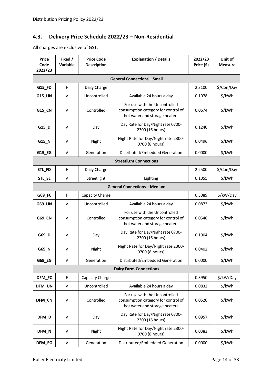# <span id="page-17-0"></span>**4.3. Delivery Price Schedule 2022/23 – Non-Residential**

All charges are exclusive of GST.

| <b>Price</b><br>Code<br>2022/23 | Fixed /<br><b>Variable</b> | <b>Price Code</b><br><b>Description</b> | <b>Explanation / Details</b>                                                                          | 2022/23<br>Price (\$) | Unit of<br><b>Measure</b> |
|---------------------------------|----------------------------|-----------------------------------------|-------------------------------------------------------------------------------------------------------|-----------------------|---------------------------|
|                                 |                            |                                         | <b>General Connections - Small</b>                                                                    |                       |                           |
| G15_FD                          | F                          | Daily Charge                            |                                                                                                       | 2.3100                | \$/Con/Day                |
| <b>G15_UN</b>                   | V                          | Uncontrolled                            | Available 24 hours a day                                                                              | 0.1078                | \$/kWh                    |
| G15_CN                          | V                          | Controlled                              | For use with the Uncontrolled<br>consumption category for control of<br>hot water and storage heaters | 0.0674                | \$/kWh                    |
| G15_D                           | V                          | Day                                     | Day Rate for Day/Night rate 0700-<br>2300 (16 hours)                                                  | 0.1240                | \$/kWh                    |
| G15_N                           | $\vee$                     | Night                                   | Night Rate for Day/Night rate 2300-<br>0700 (8 hours)                                                 | 0.0496                | \$/kWh                    |
| G15_EG                          | V                          | Generation                              | Distributed/Embedded Generation                                                                       | 0.0000                | \$/kWh                    |
|                                 |                            |                                         | <b>Streetlight Connections</b>                                                                        |                       |                           |
| STL_FD                          | F                          | Daily Charge                            |                                                                                                       | 2.2500                | \$/Con/Day                |
| STL_SL                          | V                          | Streetlight                             | Lighting                                                                                              | 0.1055                | \$/kWh                    |
|                                 |                            |                                         | <b>General Connections - Medium</b>                                                                   |                       |                           |
| G69_FC                          | F                          | Capacity Charge                         |                                                                                                       | 0.5089                | \$/kW/Day                 |
| G69_UN                          | $\vee$                     | Uncontrolled                            | Available 24 hours a day                                                                              | 0.0873                | \$/kWh                    |
| G69_CN                          | V                          | Controlled                              | For use with the Uncontrolled<br>consumption category for control of<br>hot water and storage heaters | 0.0546                | \$/kWh                    |
| G69_D                           | $\vee$                     | Day                                     | Day Rate for Day/Night rate 0700-<br>2300 (16 hours)                                                  | 0.1004                | \$/kWh                    |
| G69_N                           | $\vee$                     | Night                                   | Night Rate for Day/Night rate 2300-<br>0700 (8 hours)                                                 | 0.0402                | \$/kWh                    |
| G69_EG                          | V                          | Generation                              | Distributed/Embedded Generation                                                                       | 0.0000                | \$/kWh                    |
|                                 |                            |                                         | <b>Dairy Farm Connections</b>                                                                         |                       |                           |
| <b>DFM FC</b>                   | F                          | Capacity Charge                         |                                                                                                       | 0.3950                | \$/kW/Day                 |
| DFM_UN                          | V                          | Uncontrolled                            | Available 24 hours a day                                                                              | 0.0832                | \$/kWh                    |
| DFM_CN                          | V                          | Controlled                              | For use with the Uncontrolled<br>consumption category for control of<br>hot water and storage heaters | 0.0520                | \$/kWh                    |
| DFM_D                           | $\vee$                     | Day                                     | Day Rate for Day/Night rate 0700-<br>2300 (16 hours)                                                  | 0.0957                | \$/kWh                    |
| DFM_N                           | $\vee$                     | Night                                   | Night Rate for Day/Night rate 2300-<br>0700 (8 hours)                                                 | 0.0383                | \$/kWh                    |
| DFM_EG                          | V                          | Generation                              | Distributed/Embedded Generation                                                                       | 0.0000                | \$/kWh                    |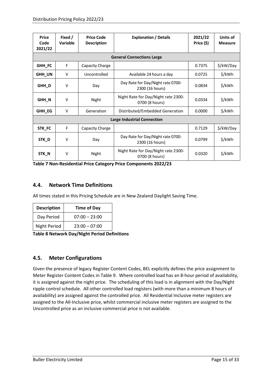| <b>Price</b><br>Code<br>2021/22 | Fixed /<br><b>Variable</b> | <b>Price Code</b><br><b>Description</b> | <b>Explanation / Details</b>                          | 2021/22<br>Price (\$) | Units of<br><b>Measure</b> |
|---------------------------------|----------------------------|-----------------------------------------|-------------------------------------------------------|-----------------------|----------------------------|
|                                 |                            |                                         | <b>General Connections Large</b>                      |                       |                            |
| GHH_FC                          | F                          | Capacity Charge                         |                                                       | 0.7375                | \$/kW/Day                  |
| GHH_UN                          | v                          | Uncontrolled                            | Available 24 hours a day                              | 0.0725                | \$/kWh                     |
| GHH_D                           | V                          | Day                                     | Day Rate for Day/Night rate 0700-<br>2300 (16 hours)  | 0.0834                | \$/kWh                     |
| GHH_N                           | v                          | Night                                   | Night Rate for Day/Night rate 2300-<br>0700 (8 hours) | 0.0334                | \$/kWh                     |
| GHH_EG                          | v                          | Generation                              | Distributed/Embedded Generation                       | 0.0000                | \$/kWh                     |
|                                 |                            |                                         | <b>Large Industrial Connection</b>                    |                       |                            |
| STK_FC                          | F                          | Capacity Charge                         |                                                       | 0.7129                | \$/kW/Day                  |
| STK_D                           | v                          | Day                                     | Day Rate for Day/Night rate 0700-<br>2300 (16 hours)  | 0.0799                | \$/kWh                     |
| STK_N                           | V                          | Night                                   | Night Rate for Day/Night rate 2300-<br>0700 (8 hours) | 0.0320                | \$/kWh                     |

## <span id="page-18-0"></span>**4.4. Network Time Definitions**

All times stated in this Pricing Schedule are in New Zealand Daylight Saving Time.

| <b>Description</b> | <b>Time of Day</b> |
|--------------------|--------------------|
| Day Period         | $07:00 - 23:00$    |
| Night Period       | $23:00 - 07:00$    |

**Table 8 Network Day/Night Period Definitions**

#### <span id="page-18-1"></span>**4.5. Meter Configurations**

Given the presence of legacy Register Content Codes, BEL explicitly defines the price assignment to Meter Register Content Codes i[n Table 9.](#page-19-0) Where controlled load has an 8-hour period of availability, it is assigned against the night price. The scheduling of this load is in alignment with the Day/Night ripple control schedule. All other controlled load registers (with more than a minimum 8 hours of availability) are assigned against the controlled price. All Residential Inclusive meter registers are assigned to the All-Inclusive price, whilst commercial inclusive meter registers are assigned to the Uncontrolled price as an inclusive commercial price is not available.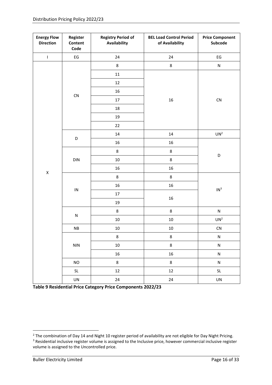<span id="page-19-1"></span>

| <b>Energy Flow</b><br><b>Direction</b> | Register<br>Content<br>Code       | <b>Registry Period of</b><br>Availability | <b>BEL Load Control Period</b><br>of Availability | <b>Price Component</b><br>Subcode |  |
|----------------------------------------|-----------------------------------|-------------------------------------------|---------------------------------------------------|-----------------------------------|--|
| $\bar{\mathbf{I}}$                     | $\mathsf{E}\mathsf{G}$            | 24                                        | 24                                                | $\mathsf{E}\mathsf{G}$            |  |
|                                        |                                   | $\bf 8$                                   | 8                                                 | ${\sf N}$                         |  |
|                                        |                                   | $11\,$                                    |                                                   |                                   |  |
|                                        |                                   | $12\,$                                    |                                                   |                                   |  |
|                                        |                                   | 16                                        |                                                   |                                   |  |
|                                        | CN                                | 17                                        | 16                                                | ${\sf CN}$                        |  |
|                                        |                                   | $18\,$                                    |                                                   |                                   |  |
|                                        |                                   | 19                                        |                                                   |                                   |  |
|                                        |                                   | 22                                        |                                                   |                                   |  |
|                                        |                                   | 14                                        | $14\,$                                            | UN <sup>2</sup>                   |  |
| $\pmb{\mathsf{X}}$                     | D                                 | $16\,$                                    | $16\,$                                            |                                   |  |
|                                        | DIN                               | 8                                         | 8                                                 |                                   |  |
|                                        |                                   | $10\,$                                    | 8                                                 | D                                 |  |
|                                        |                                   | 16                                        | 16                                                |                                   |  |
|                                        |                                   | $\bf 8$                                   | 8                                                 |                                   |  |
|                                        | ${\sf IN}$                        | 16                                        | 16                                                | $\mathsf{IN}^3$                   |  |
|                                        |                                   | $17\,$                                    | 16                                                |                                   |  |
|                                        |                                   | 19                                        |                                                   |                                   |  |
|                                        | ${\sf N}$                         | $\bf 8$                                   | $\bf 8$                                           | ${\sf N}$                         |  |
|                                        |                                   | $10\,$                                    | $10\,$                                            | UN <sup>2</sup>                   |  |
|                                        | ${\sf NB}$                        | $10\,$                                    | $10\,$                                            | ${\sf CN}$                        |  |
|                                        |                                   | 8                                         | 8                                                 | N                                 |  |
|                                        | <b>NIN</b>                        | $10\,$                                    | $\bf 8$                                           | ${\sf N}$                         |  |
|                                        |                                   | 16                                        | 16                                                | ${\sf N}$                         |  |
|                                        | <b>NO</b>                         | $\bf 8$                                   | 8                                                 | ${\sf N}$                         |  |
|                                        | $\ensuremath{\mathsf{SL}}\xspace$ | $12\,$                                    | $12\,$                                            | <b>SL</b>                         |  |
|                                        | UN                                | 24                                        | 24                                                | UN                                |  |

<span id="page-19-0"></span>**Table 9 Residential Price Category Price Components 2022/23**

<sup>&</sup>lt;sup>2</sup> The combination of Day 14 and Night 10 register period of availability are not eligible for Day Night Pricing. <sup>3</sup> Residential inclusive register volume is assigned to the Inclusive price, however commercial inclusive register volume is assigned to the Uncontrolled price.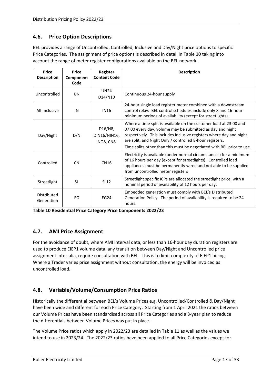## <span id="page-20-0"></span>**4.6. Price Option Descriptions**

BEL provides a range of Uncontrolled, Controlled, Inclusive and Day/Night price options to specific Price Categories. The assignment of price options is described in detail in [Table 10](#page-20-3) taking into account the range of meter register configurations available on the BEL network.

| <b>Price</b><br><b>Description</b> | <b>Price</b><br>Component<br>Code | <b>Register</b><br><b>Content Code</b> | <b>Description</b>                                                                                                                                                                                                                                                                                                                         |
|------------------------------------|-----------------------------------|----------------------------------------|--------------------------------------------------------------------------------------------------------------------------------------------------------------------------------------------------------------------------------------------------------------------------------------------------------------------------------------------|
| Uncontrolled                       | UN                                | <b>UN24</b><br>D14/N10                 | Continuous 24-hour supply                                                                                                                                                                                                                                                                                                                  |
| All-Inclusive                      | IN                                | <b>IN16</b>                            | 24-hour single load register meter combined with a downstream<br>control relay. BEL control schedules include only 8 and 16-hour<br>minimum periods of availability (except for streetlights).                                                                                                                                             |
| Day/Night                          | D/N                               | D16/N8,<br>DIN16/NIN16,<br>NO8, CN8    | Where a time split is available on the customer load at 23:00 and<br>07:00 every day, volume may be submitted as day and night<br>respectively. This includes Inclusive registers where day and night<br>are split, and Night Only / controlled 8-hour registers.<br>Time splits other than this must be negotiated with BEL prior to use. |
| Controlled                         | <b>CN</b>                         | <b>CN16</b>                            | Electricity is available (under normal circumstances) for a minimum<br>of 16 hours per day (except for streetlights). Controlled load<br>appliances must be permanently wired and not able to be supplied<br>from uncontrolled meter registers                                                                                             |
| Streetlight                        | <b>SL</b>                         | <b>SL12</b>                            | Streetlight specific ICPs are allocated the streetlight price, with a<br>nominal period of availability of 12 hours per day.                                                                                                                                                                                                               |
| Distributed<br>Generation          | EG                                | <b>EG24</b>                            | Embedded generation must comply with BEL's Distributed<br>Generation Policy. The period of availability is required to be 24<br>hours.                                                                                                                                                                                                     |

<span id="page-20-3"></span>**Table 10 Residential Price Category Price Components 2022/23**

## <span id="page-20-1"></span>**4.7. AMI Price Assignment**

For the avoidance of doubt, where AMI interval data, or less than 16-hour day duration registers are used to produce EIEP1 volume data, any transition between Day/Night and Uncontrolled price assignment inter-alia, require consultation with BEL. This is to limit complexity of EIEP1 billing. Where a Trader varies price assignment without consultation, the energy will be invoiced as uncontrolled load.

## <span id="page-20-2"></span>**4.8. Variable/Volume/Consumption Price Ratios**

Historically the differential between BEL's Volume Prices e.g. Uncontrolled/Controlled & Day/Night have been wide and different for each Price Category. Starting from 1 April 2021 the ratios between our Volume Prices have been standardised across all Price Categories and a 3-year plan to reduce the differentials between Volume Prices was put in place.

The Volume Price ratios which apply in 2022/23 are detailed i[n Table 11](#page-21-1) as well as the values we intend to use in 2023/24. The 2022/23 ratios have been applied to all Price Categories except for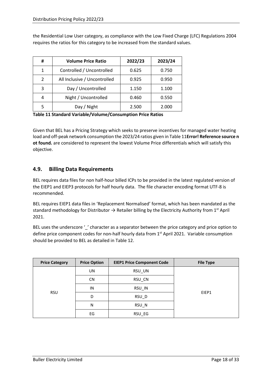the Residential Low User category, as compliance with the Low Fixed Charge (LFC) Regulations 2004 requires the ratios for this category to be increased from the standard values.

| #              | <b>Volume Price Ratio</b>    | 2022/23 | 2023/24 |
|----------------|------------------------------|---------|---------|
| 1              | Controlled / Uncontrolled    | 0.625   | 0.750   |
| $\mathfrak{p}$ | All Inclusive / Uncontrolled | 0.925   | 0.950   |
| 3              | Day / Uncontrolled           | 1.150   | 1.100   |
|                | Night / Uncontrolled         | 0.460   | 0.550   |
|                | Day / Night                  | 2.500   | 2.000   |

<span id="page-21-1"></span>**Table 11 Standard Variable/Volume/Consumption Price Ratios**

Given that BEL has a Pricing Strategy which seeks to preserve incentives for managed water heating load and off-peak network consumption the 2023/24 ratios given in [Table 11](#page-21-1)**Error! Reference source n ot found.** are considered to represent the lowest Volume Price differentials which will satisfy this objective.

#### <span id="page-21-0"></span>**4.9. Billing Data Requirements**

BEL requires data files for non half-hour billed ICPs to be provided in the latest regulated version of the EIEP1 and EIEP3 protocols for half hourly data. The file character encoding format UTF-8 is recommended.

BEL requires EIEP1 data files in 'Replacement Normalised' format, which has been mandated as the standard methodology for Distributor  $\rightarrow$  Retailer billing by the Electricity Authority from 1<sup>st</sup> April 2021.

BEL uses the underscore '\_' character as a separator between the price category and price option to define price component codes for non-half hourly data from 1<sup>st</sup> April 2021. Variable consumption should be provided to BEL as detailed in [Table 12.](#page-22-0)

| <b>Price Category</b> | <b>Price Option</b> | <b>EIEP1 Price Component Code</b> | <b>File Type</b> |
|-----------------------|---------------------|-----------------------------------|------------------|
|                       | UN                  | RSU UN                            |                  |
| <b>RSU</b>            | <b>CN</b>           | RSU_CN                            |                  |
|                       | IN                  | RSU IN                            |                  |
|                       | D                   | RSU_D                             | EIEP1            |
|                       | N                   | RSU_N                             |                  |
|                       | EG                  | RSU_EG                            |                  |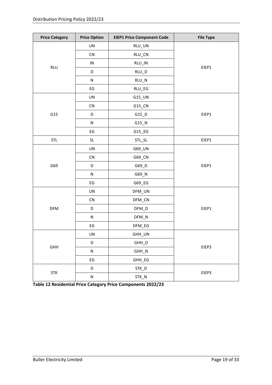| <b>Price Category</b> | <b>Price Option</b>    | <b>EIEP1 Price Component Code</b> | <b>File Type</b> |
|-----------------------|------------------------|-----------------------------------|------------------|
|                       | UN                     | RLU_UN                            |                  |
|                       | ${\sf CN}$             | RLU_CN                            |                  |
| <b>RLU</b>            | ${\sf IN}$             | RLU_IN                            | EIEP1            |
|                       | D                      | $RLU_D$                           |                  |
|                       | ${\sf N}$              | $RLU_N$                           |                  |
|                       | $\mathsf{E}\mathsf{G}$ | RLU_EG                            |                  |
|                       | UN                     | G15_UN                            |                  |
|                       | ${\sf CN}$             | G15_CN                            |                  |
| G15                   | D                      | $G15_D$                           | EIEP1            |
|                       | ${\sf N}$              | $G15$ <sup>N</sup>                |                  |
|                       | $\mathsf{E}\mathsf{G}$ | G15_EG                            |                  |
| <b>STL</b>            | <b>SL</b>              | STL_SL                            | EIEP1            |
|                       | UN                     | G69_UN                            |                  |
|                       | ${\sf CN}$             | G69_CN                            |                  |
| G69                   | D                      | G69_D                             | EIEP1            |
|                       | ${\sf N}$              | G69_N                             |                  |
|                       | $\mathsf{E}\mathsf{G}$ | G69_EG                            |                  |
|                       | UN                     | DFM_UN                            |                  |
|                       | ${\sf CN}$             | DFM_CN                            |                  |
| <b>DFM</b>            | D                      | $DFM_D$                           | EIEP1            |
|                       | ${\sf N}$              | $DFM_N$                           |                  |
|                       | $\mathsf{E}\mathsf{G}$ | DFM_EG                            |                  |
|                       | UN                     | GHH_UN                            |                  |
| GHH                   | D                      | GHH_D                             |                  |
|                       | ${\sf N}$              | $GHH_N$                           | EIEP3            |
|                       | $\mathsf{E}\mathsf{G}$ | GHH_EG                            |                  |
|                       | D                      | STK_D                             |                  |
| <b>STK</b>            | ${\sf N}$              | STK_N                             | EIEP3            |

<span id="page-22-0"></span>**Table 12 Residential Price Category Price Components 2022/23**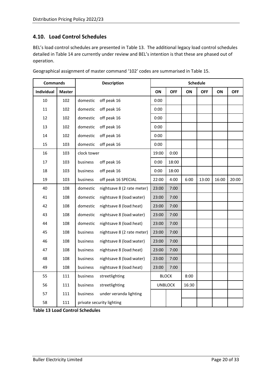### <span id="page-23-0"></span>**4.10. Load Control Schedules**

BEL's load control schedules are presented in [Table 13.](#page-23-1) The additional legacy load control schedules detailed in [Table 14](#page-24-0) are currently under review and BEL's intention is that these are phased out of operation.

|            | <b>Commands</b> |             | <b>Description</b>         |       |                |       | <b>Schedule</b> |       |            |
|------------|-----------------|-------------|----------------------------|-------|----------------|-------|-----------------|-------|------------|
| Individual | <b>Master</b>   |             |                            | ON    | <b>OFF</b>     | ON    | <b>OFF</b>      | ON    | <b>OFF</b> |
| 10         | 102             | domestic    | off peak 16                | 0:00  |                |       |                 |       |            |
| 11         | 102             | domestic    | off peak 16                | 0:00  |                |       |                 |       |            |
| 12         | 102             | domestic    | off peak 16                | 0:00  |                |       |                 |       |            |
| 13         | 102             | domestic    | off peak 16                | 0:00  |                |       |                 |       |            |
| 14         | 102             | domestic    | off peak 16                | 0:00  |                |       |                 |       |            |
| 15         | 103             | domestic    | off peak 16                | 0:00  |                |       |                 |       |            |
| 16         | 103             | clock tower |                            | 19:00 | 0:00           |       |                 |       |            |
| 17         | 103             | business    | off peak 16                | 0:00  | 18:00          |       |                 |       |            |
| 18         | 103             | business    | off peak 16                | 0:00  | 18:00          |       |                 |       |            |
| 19         | 103             | business    | off peak 16 SPECIAL        | 22:00 | 4:00           | 6:00  | 13:00           | 16:00 | 20:00      |
| 40         | 108             | domestic    | nightsave 8 (2 rate meter) | 23:00 | 7:00           |       |                 |       |            |
| 41         | 108             | domestic    | nightsave 8 (load:water)   | 23:00 | 7:00           |       |                 |       |            |
| 42         | 108             | domestic    | nightsave 8 (load:heat)    | 23:00 | 7:00           |       |                 |       |            |
| 43         | 108             | domestic    | nightsave 8 (load:water)   | 23:00 | 7:00           |       |                 |       |            |
| 44         | 108             | domestic    | nightsave 8 (load:heat)    | 23:00 | 7:00           |       |                 |       |            |
| 45         | 108             | business    | nightsave 8 (2 rate meter) | 23:00 | 7:00           |       |                 |       |            |
| 46         | 108             | business    | nightsave 8 (load:water)   | 23:00 | 7:00           |       |                 |       |            |
| 47         | 108             | business    | nightsave 8 (load:heat)    | 23:00 | 7:00           |       |                 |       |            |
| 48         | 108             | business    | nightsave 8 (load:water)   | 23:00 | 7:00           |       |                 |       |            |
| 49         | 108             | business    | nightsave 8 (load:heat)    | 23:00 | 7:00           |       |                 |       |            |
| 55         | 111             | business    | streetlighting             |       | <b>BLOCK</b>   | 8:00  |                 |       |            |
| 56         | 111             | business    | streetlighting             |       | <b>UNBLOCK</b> | 16:30 |                 |       |            |
| 57         | 111             | business    | under veranda lighting     |       |                |       |                 |       |            |
| 58         | 111             |             | private security lighting  |       |                |       |                 |       |            |

Geographical assignment of master command '102' codes are summarised in [Table 15.](#page-25-0)

<span id="page-23-1"></span>**Table 13 Load Control Schedules**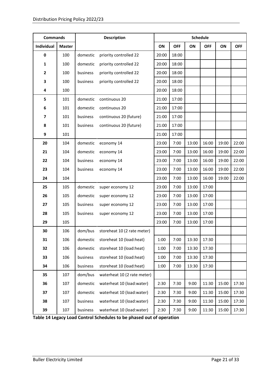| <b>Commands</b> |               |          | <b>Description</b>          |       |            |       | <b>Schedule</b> |       |            |
|-----------------|---------------|----------|-----------------------------|-------|------------|-------|-----------------|-------|------------|
| Individual      | <b>Master</b> |          |                             | ON    | <b>OFF</b> | ON    | <b>OFF</b>      | ON    | <b>OFF</b> |
| $\pmb{0}$       | 100           | domestic | priority controlled 22      | 20:00 | 18:00      |       |                 |       |            |
| 1               | 100           | domestic | priority controlled 22      | 20:00 | 18:00      |       |                 |       |            |
| 2               | 100           | business | priority controlled 22      | 20:00 | 18:00      |       |                 |       |            |
| 3               | 100           | business | priority controlled 22      | 20:00 | 18:00      |       |                 |       |            |
| 4               | 100           |          |                             | 20:00 | 18:00      |       |                 |       |            |
| 5               | 101           | domestic | continuous 20               | 21:00 | 17:00      |       |                 |       |            |
| 6               | 101           | domestic | continuous 20               | 21:00 | 17:00      |       |                 |       |            |
| 7               | 101           | business | continuous 20 (future)      | 21:00 | 17:00      |       |                 |       |            |
| 8               | 101           | business | continuous 20 (future)      | 21:00 | 17:00      |       |                 |       |            |
| 9               | 101           |          |                             | 21:00 | 17:00      |       |                 |       |            |
| 20              | 104           | domestic | economy 14                  | 23:00 | 7:00       | 13:00 | 16:00           | 19:00 | 22:00      |
| 21              | 104           | domestic | economy 14                  | 23:00 | 7:00       | 13:00 | 16:00           | 19:00 | 22:00      |
| 22              | 104           | business | economy 14                  | 23:00 | 7:00       | 13:00 | 16:00           | 19:00 | 22:00      |
| 23              | 104           | business | economy 14                  | 23:00 | 7:00       | 13:00 | 16:00           | 19:00 | 22:00      |
| 24              | 104           |          |                             | 23:00 | 7:00       | 13:00 | 16:00           | 19:00 | 22:00      |
| 25              | 105           | domestic | super economy 12            | 23:00 | 7:00       | 13:00 | 17:00           |       |            |
| 26              | 105           | domestic | super economy 12            | 23:00 | 7:00       | 13:00 | 17:00           |       |            |
| 27              | 105           | business | super economy 12            | 23:00 | 7:00       | 13:00 | 17:00           |       |            |
| 28              | 105           | business | super economy 12            | 23:00 | 7:00       | 13:00 | 17:00           |       |            |
| 29              | 105           |          |                             | 23:00 | 7:00       | 13:00 | 17:00           |       |            |
| 30              | 106           | dom/bus  | storeheat 10 (2 rate meter) |       |            |       |                 |       |            |
| 31              | 106           | domestic | storeheat 10 (load:heat)    | 1:00  | 7:00       | 13:30 | 17:30           |       |            |
| 32              | 106           | domestic | storeheat 10 (load:heat)    | 1:00  | 7:00       | 13:30 | 17:30           |       |            |
| 33              | 106           | business | storeheat 10 (load:heat)    | 1:00  | 7:00       | 13:30 | 17:30           |       |            |
| 34              | 106           | business | storeheat 10 (load:heat)    | 1:00  | 7:00       | 13:30 | 17:30           |       |            |
| 35              | 107           | dom/bus  | waterheat 10 (2 rate meter) |       |            |       |                 |       |            |
| 36              | 107           | domestic | waterheat 10 (load:water)   | 2:30  | 7:30       | 9:00  | 11:30           | 15:00 | 17:30      |
| 37              | 107           | domestic | waterheat 10 (load:water)   | 2:30  | 7:30       | 9:00  | 11:30           | 15:00 | 17:30      |
| 38              | 107           | business | waterheat 10 (load:water)   | 2:30  | 7:30       | 9:00  | 11:30           | 15:00 | 17:30      |
| 39              | 107           | business | waterheat 10 (load:water)   | 2:30  | 7:30       | 9:00  | 11:30           | 15:00 | 17:30      |

<span id="page-24-0"></span>**Table 14 Legacy Load Control Schedules to be phased out of operation**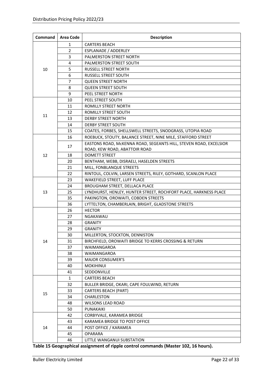| Command | <b>Area Code</b> | <b>Description</b>                                                |
|---------|------------------|-------------------------------------------------------------------|
|         | 1                | <b>CARTERS BEACH</b>                                              |
|         | $\overline{2}$   | ESPLANADE / ADDERLEY                                              |
|         | 3                | PALMERSTON STREET NORTH                                           |
|         | 4                | <b>PALMERSTON STREET SOUTH</b>                                    |
| 10      | 5                | RUSSELL STREET NORTH                                              |
|         | 6                | RUSSELL STREET SOUTH                                              |
|         | $\overline{7}$   | <b>QUEEN STREET NORTH</b>                                         |
|         | 8                | <b>QUEEN STREET SOUTH</b>                                         |
|         | 9                | PEEL STREET NORTH                                                 |
|         | 10               | PEEL STREET SOUTH                                                 |
|         | 11               | ROMILLY STREET NORTH                                              |
|         | 12               | ROMILLY STREET SOUTH                                              |
| 11      | 13               | <b>DERBY STREET NORTH</b>                                         |
|         | 14               | <b>DERBY STREET SOUTH</b>                                         |
|         | 15               | COATES, FORBES, SHELLSWELL STREETS, SNODGRASS, UTOPIA ROAD        |
|         | 16               | ROEBUCK, STOUTY, BALANCE STREET, NINE MILE, STAFFORD STREET       |
|         |                  | EASTONS ROAD, McKENNA ROAD, SEGEANTS HILL, STEVEN ROAD, EXCELSIOR |
|         | 17               | ROAD, KEW ROAD, ABATTOIR ROAD                                     |
| 12      | 18               | <b>DOMETT STREET</b>                                              |
|         | 20               | BENTHAM, WEBB, DISRAELI, HASELDEN STREETS                         |
|         | 21               | MILL, FONBLANQUE STREETS                                          |
|         | 22               | RINTOUL, COLVIN, LARSEN STREETS, RILEY, GOTHARD, SCANLON PLACE    |
|         | 23               | WAKEFIELD STREET, LUFF PLACE                                      |
|         | 24               | BROUGHAM STREET, DELLACA PLACE                                    |
| 13      | 25               | LYNDHURST, HENLEY, HUNTER STREET, ROCHFORT PLACE, HARKNESS PLACE  |
|         | 35               | PAKINGTON, OROWAITI, COBDEN STREETS                               |
|         | 36               | LYTTELTON, CHAMBERLAIN, BRIGHT, GLADSTONE STREETS                 |
|         | 26               | <b>HECTOR</b>                                                     |
|         | 27               | NGAKAWAU                                                          |
|         | 28               | <b>GRANITY</b>                                                    |
|         | 29               | <b>GRANITY</b>                                                    |
|         | 30               | MILLERTON, STOCKTON, DENNISTON                                    |
| 14      | 31               | BIRCHFIELD, OROWAITI BRIDGE TO KERRS CROSSING & RETURN            |
|         | 37               | <b>WAIMANGAROA</b>                                                |
|         | 38               | WAIMANGAROA                                                       |
|         | 39               | <b>MAJOR CONSUMER'S</b>                                           |
|         | 40               | <b>MOKIHINUI</b>                                                  |
|         | 41               | SEDDONVILLE                                                       |
|         | $\mathbf{1}$     | <b>CARTERS BEACH</b>                                              |
|         | 32               | BULLER BRIDGE, OKARI, CAPE FOULWIND, RETURN                       |
| 15      | 33               | <b>CARTERS BEACH (PART)</b>                                       |
|         | 34               | CHARLESTON                                                        |
|         | 48               | <b>WILSONS LEAD ROAD</b>                                          |
|         | 50               | PUNAKAIKI                                                         |
|         | 42               | CORBYVALE, KARAMEA BRIDGE                                         |
|         | 43               | KARAMEA BRIDGE TO POST OFFICE                                     |
| 14      | 44               | POST OFFICE / KARAMEA                                             |
|         | 45               | <b>OPARARA</b>                                                    |
|         | 46               | LITTLE WANGANUI SUBSTATION                                        |

<span id="page-25-0"></span>**Table 15 Geographical assignment of ripple control commands (Master 102, 16 hours).**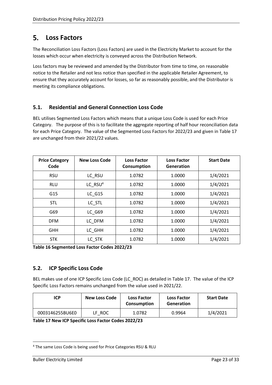#### <span id="page-26-0"></span> $5.$ **Loss Factors**

The Reconciliation Loss Factors (Loss Factors) are used in the Electricity Market to account for the losses which occur when electricity is conveyed across the Distribution Network.

Loss factors may be reviewed and amended by the Distributor from time to time, on reasonable notice to the Retailer and not less notice than specified in the applicable Retailer Agreement, to ensure that they accurately account for losses, so far as reasonably possible, and the Distributor is meeting its compliance obligations.

## <span id="page-26-1"></span>**5.1. Residential and General Connection Loss Code**

BEL utilises Segmented Loss Factors which means that a unique Loss Code is used for each Price Category. The purpose of this is to facilitate the aggregate reporting of half hour reconciliation data for each Price Category. The value of the Segmented Loss Factors for 2022/23 and given in [Table 17](#page-26-3) are unchanged from their 2021/22 values.

| <b>Price Category</b><br>Code | <b>New Loss Code</b> | <b>Loss Factor</b><br>Consumption | <b>Loss Factor</b><br>Generation | <b>Start Date</b> |
|-------------------------------|----------------------|-----------------------------------|----------------------------------|-------------------|
| <b>RSU</b>                    | LC RSU               | 1.0782                            | 1.0000                           | 1/4/2021          |
| <b>RLU</b>                    | LC $RSU4$            | 1.0782                            | 1.0000                           | 1/4/2021          |
| G15                           | <b>LC G15</b>        | 1.0782                            | 1.0000                           | 1/4/2021          |
| <b>STL</b>                    | LC STL               | 1.0782                            | 1.0000                           | 1/4/2021          |
| G69                           | <b>LC G69</b>        | 1.0782                            | 1.0000                           | 1/4/2021          |
| <b>DFM</b>                    | LC DFM               | 1.0782                            | 1.0000                           | 1/4/2021          |
| <b>GHH</b>                    | LC GHH               | 1.0782                            | 1.0000                           | 1/4/2021          |
| <b>STK</b>                    | LC STK               | 1.0782                            | 1.0000                           | 1/4/2021          |

**Table 16 Segmented Loss Factor Codes 2022/23**

## <span id="page-26-2"></span>**5.2. ICP Specific Loss Code**

BEL makes use of one ICP Specific Loss Code (LC\_ROC) as detailed in [Table 17.](#page-26-3) The value of the ICP Specific Loss Factors remains unchanged from the value used in 2021/22.

| ICP             | <b>New Loss Code</b> | <b>Loss Factor</b><br>Consumption | <b>Loss Factor</b><br><b>Generation</b> | <b>Start Date</b> |
|-----------------|----------------------|-----------------------------------|-----------------------------------------|-------------------|
| 0003146255BU6E0 | LF ROC               | 1.0782                            | 0.9964                                  | 1/4/2021          |

<span id="page-26-3"></span>**Table 17 New ICP Specific Loss Factor Codes 2022/23**

<sup>4</sup> The same Loss Code is being used for Price Categories RSU & RLU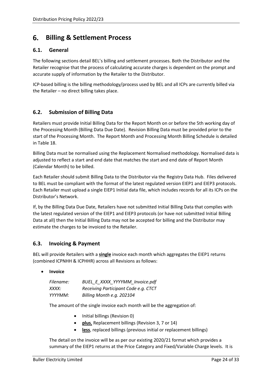#### <span id="page-27-0"></span>6. **Billing & Settlement Process**

#### <span id="page-27-1"></span>**6.1. General**

The following sections detail BEL's billing and settlement processes. Both the Distributor and the Retailer recognise that the process of calculating accurate charges is dependent on the prompt and accurate supply of information by the Retailer to the Distributor.

ICP-based billing is the billing methodology/process used by BEL and all ICPs are currently billed via the Retailer – no direct billing takes place.

#### <span id="page-27-2"></span>**6.2. Submission of Billing Data**

Retailers must provide Initial Billing Data for the Report Month on or before the 5th working day of the Processing Month (Billing Data Due Date). Revision Billing Data must be provided prior to the start of the Processing Month. The Report Month and Processing Month Billing Schedule is detailed in [Table 18.](#page-29-1)

Billing Data must be normalised using the Replacement Normalised methodology. Normalised data is adjusted to reflect a start and end date that matches the start and end date of Report Month (Calendar Month) to be billed.

Each Retailer should submit Billing Data to the Distributor via the Registry Data Hub. Files delivered to BEL must be compliant with the format of the latest regulated version EIEP1 and EIEP3 protocols. Each Retailer must upload a single EIEP1 Initial data file, which includes records for all its ICPs on the Distributor's Network.

If, by the Billing Data Due Date, Retailers have not submitted Initial Billing Data that complies with the latest regulated version of the EIEP1 and EIEP3 protocols (or have not submitted Initial Billing Data at all) then the Initial Billing Data may not be accepted for billing and the Distributor may estimate the charges to be invoiced to the Retailer.

#### <span id="page-27-3"></span>**6.3. Invoicing & Payment**

BEL will provide Retailers with a **single** invoice each month which aggregates the EIEP1 returns (combined ICPNHH & ICPHHR) across all Revisions as follows:

• **Invoice**

| Filename: | BUEL E XXXX YYYYMM Invoice.pdf       |
|-----------|--------------------------------------|
| XXXX:     | Receiving Participant Code e.g. CTCT |
| YYYYMM:   | Billing Month e.g. 202104            |

The amount of the single invoice each month will be the aggregation of:

- Initial billings (Revision 0)
- **plus**, Replacement billings (Revision 3, 7 or 14)
- **less**, replaced billings (previous initial or replacement billings)

The detail on the invoice will be as per our existing 2020/21 format which provides a summary of the EIEP1 returns at the Price Category and Fixed/Variable Charge levels. It is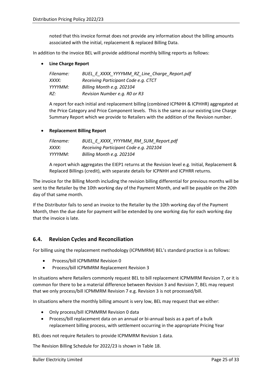noted that this invoice format does not provide any information about the billing amounts associated with the initial, replacement & replaced Billing Data.

In addition to the invoice BEL will provide additional monthly billing reports as follows:

• **Line Charge Report**

| Filename: | BUEL E XXXX YYYYMM RZ Line Charge Report.pdf |
|-----------|----------------------------------------------|
| XXXX:     | Receiving Participant Code e.g. CTCT         |
| YYYYMM:   | Billing Month e.g. 202104                    |
| RZ:       | Revision Number e.g. RO or R3                |

A report for each initial and replacement billing (combined ICPNHH & ICPHHR) aggregated at the Price Category and Price Component levels. This is the same as our existing Line Charge Summary Report which we provide to Retailers with the addition of the Revision number.

#### • **Replacement Billing Report**

| Filename: | BUEL E XXXX YYYYMM RM SUM Report.pdf   |
|-----------|----------------------------------------|
| XXXX:     | Receiving Participant Code e.g. 202104 |
| YYYYMM:   | Billing Month e.g. 202104              |

A report which aggregates the EIEP1 returns at the Revision level e.g. Initial, Replacement & Replaced Billings (credit), with separate details for ICPNHH and ICPHRR returns.

The invoice for the Billing Month including the revision billing differential for previous months will be sent to the Retailer by the 10th working day of the Payment Month, and will be payable on the 20th day of that same month.

If the Distributor fails to send an invoice to the Retailer by the 10th working day of the Payment Month, then the due date for payment will be extended by one working day for each working day that the invoice is late.

## <span id="page-28-0"></span>**6.4. Revision Cycles and Reconciliation**

For billing using the replacement methodology (ICPMMRM) BEL's standard practice is as follows:

- Process/bill ICPMMRM Revision 0
- Process/bill ICPMMRM Replacement Revision 3

In situations where Retailers commonly request BEL to bill replacement ICPMMRM Revision 7, or it is common for there to be a material difference between Revision 3 and Revision 7, BEL may request that we only process/bill ICPMMRM Revision 7 e.g. Revision 3 is not processed/bill.

In situations where the monthly billing amount is very low, BEL may request that we either:

- Only process/bill ICPMMRM Revision 0 data
- Process/bill replacement data on an annual or bi-annual basis as a part of a bulk replacement billing process, with settlement occurring in the appropriate Pricing Year

BEL does not require Retailers to provide ICPMMRM Revision 1 data.

The Revision Billing Schedule for 2022/23 is shown in [Table 18.](#page-29-1)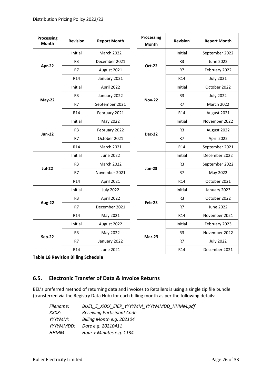| Processing<br>Month | <b>Revision</b> | <b>Report Month</b> |  | Processing<br><b>Month</b> | <b>Revision</b> | <b>Report Month</b> |
|---------------------|-----------------|---------------------|--|----------------------------|-----------------|---------------------|
| Apr-22              | Initial         | March 2022          |  | <b>Oct-22</b>              | Initial         | September 2022      |
|                     | R <sub>3</sub>  | December 2021       |  |                            | R <sub>3</sub>  | June 2022           |
|                     | R7              | August 2021         |  |                            | R7              | February 2022       |
|                     | R <sub>14</sub> | January 2021        |  |                            | R <sub>14</sub> | <b>July 2021</b>    |
| May-22              | Initial         | April 2022          |  | <b>Nov-22</b>              | Initial         | October 2022        |
|                     | R <sub>3</sub>  | January 2022        |  |                            | R <sub>3</sub>  | <b>July 2022</b>    |
|                     | R7              | September 2021      |  |                            | R7              | March 2022          |
|                     | R <sub>14</sub> | February 2021       |  |                            | R <sub>14</sub> | August 2021         |
| <b>Jun-22</b>       | Initial         | May 2022            |  | <b>Dec-22</b>              | Initial         | November 2022       |
|                     | R <sub>3</sub>  | February 2022       |  |                            | R <sub>3</sub>  | August 2022         |
|                     | R7              | October 2021        |  |                            | R7              | April 2022          |
|                     | R <sub>14</sub> | <b>March 2021</b>   |  |                            | R <sub>14</sub> | September 2021      |
| <b>Jul-22</b>       | Initial         | <b>June 2022</b>    |  | $Jan-23$                   | Initial         | December 2022       |
|                     | R <sub>3</sub>  | March 2022          |  |                            | R <sub>3</sub>  | September 2022      |
|                     | R7              | November 2021       |  |                            | R7              | May 2022            |
|                     | R <sub>14</sub> | April 2021          |  |                            | R <sub>14</sub> | October 2021        |
| Aug-22              | Initial         | <b>July 2022</b>    |  | Feb-23                     | Initial         | January 2023        |
|                     | R <sub>3</sub>  | April 2022          |  |                            | R <sub>3</sub>  | October 2022        |
|                     | R7              | December 2021       |  |                            | R7              | <b>June 2022</b>    |
|                     | R <sub>14</sub> | May 2021            |  |                            | R <sub>14</sub> | November 2021       |
| <b>Sep-22</b>       | Initial         | August 2022         |  | $Mar-23$                   | Initial         | February 2023       |
|                     | R <sub>3</sub>  | May 2022            |  |                            | R <sub>3</sub>  | November 2022       |
|                     | R7              | January 2022        |  |                            | R7              | <b>July 2022</b>    |
|                     | R14             | <b>June 2021</b>    |  |                            | R14             | December 2021       |

<span id="page-29-1"></span>**Table 18 Revision Billing Schedule**

## <span id="page-29-0"></span>**6.5. Electronic Transfer of Data & Invoice Returns**

BEL's preferred method of returning data and invoices to Retailers is using a single zip file bundle (transferred via the Registry Data Hub) for each billing month as per the following details:

| BUEL E XXXX EIEP YYYYMM YYYYMMDD HHMM.pdf |  |  |  |  |
|-------------------------------------------|--|--|--|--|
| <b>Receiving Participant Code</b>         |  |  |  |  |
| Billing Month e.g. 202104                 |  |  |  |  |
| Date e.g. 20210411                        |  |  |  |  |
| Hour + Minutes e.g. $1134$                |  |  |  |  |
|                                           |  |  |  |  |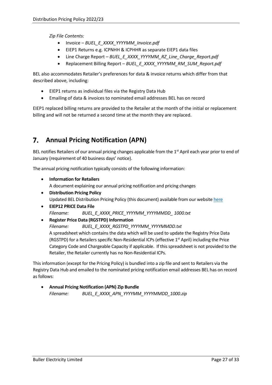*Zip File Contents:*

- Invoice *BUEL\_E\_XXXX\_YYYYMM\_Invoice.pdf*
- EIEP1 Returns e.g. ICPNHH & ICPHHR as separate EIEP1 data files
- Line Charge Report *BUEL\_E\_XXXX\_YYYYMM\_RZ\_Line\_Charge\_Report.pdf*
- Replacement Billing Report *BUEL\_E\_XXXX\_YYYYMM\_RM\_SUM\_Report.pdf*

BEL also accommodates Retailer's preferences for data & invoice returns which differ from that described above, including:

- EIEP1 returns as individual files via the Registry Data Hub
- Emailing of data & invoices to nominated email addresses BEL has on record

EIEP1 replaced billing returns are provided to the Retailer at the month of the initial or replacement billing and will not be returned a second time at the month they are replaced.

#### <span id="page-30-0"></span>**Annual Pricing Notification (APN)** 7.

BEL notifies Retailers of our annual pricing changes applicable from the 1<sup>st</sup> April each year prior to end of January (requirement of 40 business days' notice).

The annual pricing notification typically consists of the following information:

- **Information for Retailers** A document explaining our annual pricing notification and pricing changes
- **Distribution Pricing Policy** Updated BEL Distribution Pricing Policy (this document) available from our websit[e here](https://bullerelectricity.co.nz/pricing-policy/)
- **EIEP12 PRICE Data File** *Filename: BUEL\_E\_XXXX\_PRICE\_YYYYMM\_YYYYMMDD\_ 1000.txt*
- **Register Price Data (RGSTPD) Information**

*Filename: BUEL\_E\_XXXX\_RGSTPD\_YYYYMM\_YYYYMMDD.txt* A spreadsheet which contains the data which will be used to update the Registry Price Data (RGSTPD) for a Retailers specific Non-Residential ICPs (effective 1<sup>st</sup> April) including the Price Category Code and Chargeable Capacity if applicable. If this spreadsheet is not provided to the Retailer, the Retailer currently has no Non-Residential ICPs.

This information (except for the Pricing Policy) is bundled into a zip file and sent to Retailers via the Registry Data Hub and emailed to the nominated pricing notification email addresses BEL has on record as follows:

• **Annual Pricing Notification (APN) Zip Bundle** *Filename: BUEL\_E\_XXXX\_APN\_YYYYMM\_YYYYMMDD\_1000.zip*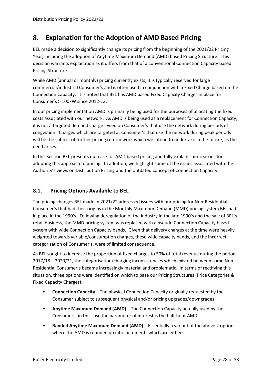#### <span id="page-31-0"></span>**Explanation for the Adoption of AMD Based Pricing** 8.

BEL made a decision to significantly change its pricing from the beginning of the 2021/22 Pricing Year, including the adoption of Anytime Maximum Demand (AMD) based Pricing Structure. This decision warrants explanation as it differs from that of a conventional Connection Capacity based Pricing Structure.

While AMD (annual or monthly) pricing currently exists, it is typically reserved for large commercial/industrial Consumer's and is often used in conjunction with a Fixed Charge based on the Connection Capacity. It is noted that BEL has AMD based Fixed Capacity Charges in place for Consumer's > 100kW since 2012-13.

In our pricing implementation AMD is primarily being used for the purposes of allocating the fixed costs associated with our network. As AMD is being used as a replacement for Connection Capacity, it is not a targeted demand charge levied on Consumer's that use the network during periods of congestion. Charges which are targeted at Consumer's that use the network during peak periods will be the subject of further pricing reform work which we intend to undertake in the future, as the need arises.

In this Section BEL presents our case for AMD based pricing and fully explains our reasons for adopting this approach to pricing. In addition, we highlight some of the issues associated with the Authority's views on Distribution Pricing and the outdated concept of Connection Capacity.

#### <span id="page-31-1"></span>**8.1. Pricing Options Available to BEL**

The pricing changes BEL made in 2021/22 addressed issues with our pricing for Non-Residential Consumer's that had their origins in the Monthly Maximum Demand (MMD) pricing system BEL had in place in the 1990's. Following deregulation of the industry in the late 1990's and the sale of BEL's retail business, the MMD pricing system was replaced with a pseudo Connection Capacity based system with wide Connection Capacity bands. Given that delivery charges at the time were heavily weighted towards variable/consumption charges, these wide capacity bands, and the incorrect categorisation of Consumer's, were of limited consequence.

As BEL sought to increase the proportion of fixed charges to 50% of total revenue during the period 2017/18 – 2020/21, the categorisation/charging inconsistencies which existed between some Non-Residential Consumer's became increasingly material and problematic. In terms of rectifying this situation, three options were identified on which to base our Pricing Structures (Price Categories & Fixed Capacity Charges):

- **Connection Capacity** The physical Connection Capacity originally requested by the Consumer subject to subsequent physical and/or pricing upgrades/downgrades
- **Anytime Maximum Demand (AMD)** The Connection Capacity actually used by the Consumer – in this case the parameter of interest is the half-hour AMD
- **Banded Anytime Maximum Demand (AMD)** Essentially a variant of the above 2 options where the AMD is rounded up into increments which are either: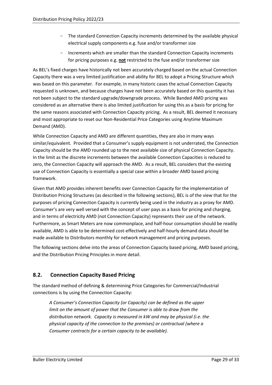- The standard Connection Capacity increments determined by the available physical electrical supply components e.g. fuse and/or transformer size
- Increments which are smaller than the standard Connection Capacity increments for pricing purposes e.g. **not** restricted to the fuse and/or transformer size

As BEL's fixed charges have historically not been accurately charged based on the actual Connection Capacity there was a very limited justification and ability for BEL to adopt a Pricing Structure which was based on this parameter. For example, in many historic cases the actual Connection Capacity requested is unknown, and because charges have not been accurately based on this quantity it has not been subject to the standard upgrade/downgrade process. While Banded AMD pricing was considered as an alternative there is also limited justification for using this as a basis for pricing for the same reasons associated with Connection Capacity pricing. As a result, BEL deemed it necessary and most appropriate to reset our Non-Residential Price Categories using Anytime Maximum Demand (AMD).

While Connection Capacity and AMD are different quantities, they are also in many ways similar/equivalent. Provided that a Consumer's supply equipment is not underrated, the Connection Capacity should be the AMD rounded up to the next available size of physical Connection Capacity. In the limit as the discrete increments between the available Connection Capacities is reduced to zero, the Connection Capacity will approach the AMD. As a result, BEL considers that the existing use of Connection Capacity is essentially a special case within a broader AMD based pricing framework.

Given that AMD provides inherent benefits over Connection Capacity for the implementation of Distribution Pricing Structures (as described in the following sections), BEL is of the view that for the purposes of pricing Connection Capacity is currently being used in the industry as a proxy for AMD. Consumer's are very well versed with the concept of user pays as a basis for pricing and charging, and in terms of electricity AMD (not Connection Capacity) represents their use of the network. Furthermore, as Smart Meters are now commonplace, and half-hour consumption should be readily available, AMD is able to be determined cost-effectively and half-hourly demand data should be made available to Distributors monthly for network management and pricing purposes.

The following sections delve into the areas of Connection Capacity based pricing, AMD based pricing, and the Distribution Pricing Principles in more detail.

# <span id="page-32-0"></span>**8.2. Connection Capacity Based Pricing**

The standard method of defining & determining Price Categories for Commercial/Industrial connections is by using the Connection Capacity:

*A Consumer's Connection Capacity (or Capacity) can be defined as the upper limit on the amount of power that the Consumer is able to draw from the distribution network. Capacity is measured in kW and may be physical (i.e. the physical capacity of the connection to the premises) or contractual (where a Consumer contracts for a certain capacity to be available).*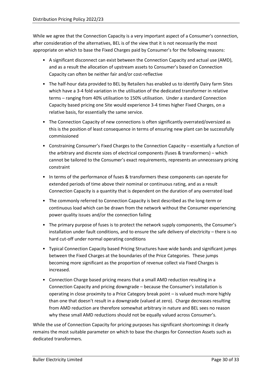While we agree that the Connection Capacity is a very important aspect of a Consumer's connection, after consideration of the alternatives, BEL is of the view that it is not necessarily the most appropriate on which to base the Fixed Charges paid by Consumer's for the following reasons:

- A significant disconnect can exist between the Connection Capacity and actual use (AMD), and as a result the allocation of upstream assets to Consumer's based on Connection Capacity can often be neither fair and/or cost-reflective
- The half-hour data provided to BEL by Retailers has enabled us to identify Dairy farm Sites which have a 3-4 fold variation in the utilisation of the dedicated transformer in relative terms – ranging from 40% utilisation to 150% utilisation. Under a standard Connection Capacity based pricing one Site would experience 3-4 times higher Fixed Charges, on a relative basis, for essentially the same service.
- The Connection Capacity of new connections is often significantly overrated/oversized as this is the position of least consequence in terms of ensuring new plant can be successfully commissioned
- Constraining Consumer's Fixed Charges to the Connection Capacity essentially a function of the arbitrary and discrete sizes of electrical components (fuses & transformers) – which cannot be tailored to the Consumer's exact requirements, represents an unnecessary pricing constraint
- In terms of the performance of fuses & transformers these components can operate for extended periods of time above their nominal or continuous rating, and as a result Connection Capacity is a quantity that is dependent on the duration of any overrated load
- The commonly referred to Connection Capacity is best described as the long-term or continuous load which can be drawn from the network without the Consumer experiencing power quality issues and/or the connection failing
- The primary purpose of fuses is to protect the network supply components, the Consumer's installation under fault conditions, and to ensure the safe delivery of electricity – there is no hard cut-off under normal operating conditions
- Typical Connection Capacity based Pricing Structures have wide bands and significant jumps between the Fixed Charges at the boundaries of the Price Categories. These jumps becoming more significant as the proportion of revenue collect via Fixed Charges is increased.
- Connection Charge based pricing means that a small AMD reduction resulting in a Connection Capacity and pricing downgrade – because the Consumer's installation is operating in close proximity to a Price Category break point – is valued much more highly than one that doesn't result in a downgrade (valued at zero). Charge decreases resulting from AMD reduction are therefore somewhat arbitrary in nature and BEL sees no reason why these small AMD reductions should not be equally valued across Consumer's.

While the use of Connection Capacity for pricing purposes has significant shortcomings it clearly remains the most suitable parameter on which to base the charges for Connection Assets such as dedicated transformers.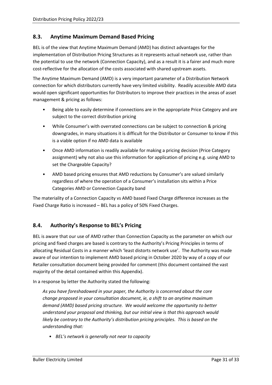#### <span id="page-34-0"></span>**8.3. Anytime Maximum Demand Based Pricing**

BEL is of the view that Anytime Maximum Demand (AMD) has distinct advantages for the implementation of Distribution Pricing Structures as it represents actual network use, rather than the potential to use the network (Connection Capacity), and as a result it is a fairer and much more cost-reflective for the allocation of the costs associated with shared upstream assets.

The Anytime Maximum Demand (AMD) is a very important parameter of a Distribution Network connection for which distributors currently have very limited visibility. Readily accessible AMD data would open significant opportunities for Distributors to improve their practices in the areas of asset management & pricing as follows:

- Being able to easily determine if connections are in the appropriate Price Category and are subject to the correct distribution pricing
- While Consumer's with overrated connections can be subject to connection & pricing downgrades, in many situations it is difficult for the Distributor or Consumer to know if this is a viable option if no AMD data is available
- Once AMD information is readily available for making a pricing decision (Price Category assignment) why not also use this information for application of pricing e.g. using AMD to set the Chargeable Capacity?
- AMD based pricing ensures that AMD reductions by Consumer's are valued similarly regardless of where the operation of a Consumer's installation sits within a Price Categories AMD or Connection Capacity band

The materiality of a Connection Capacity vs AMD based Fixed Charge difference increases as the Fixed Charge Ratio is increased – BEL has a policy of 50% Fixed Charges.

## <span id="page-34-1"></span>**8.4. Authority's Response to BEL's Pricing**

BEL is aware that our use of AMD rather than Connection Capacity as the parameter on which our pricing and fixed charges are based is contrary to the Authority's Pricing Principles in terms of allocating Residual Costs in a manner which 'least distorts network use'. The Authority was made aware of our intention to implement AMD based pricing in October 2020 by way of a copy of our Retailer consultation document being provided for comment (this document contained the vast majority of the detail contained within this Appendix).

In a response by letter the Authority stated the following:

*As you have foreshadowed in your paper, the Authority is concerned about the core change proposed in your consultation document, ie, a shift to an anytime maximum demand (AMD) based pricing structure. We would welcome the opportunity to better understand your proposal and thinking, but our initial view is that this approach would likely be contrary to the Authority's distribution pricing principles. This is based on the understanding that:*

• *BEL's network is generally not near to capacity*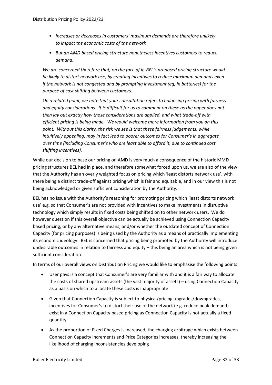- *Increases or decreases in customers' maximum demands are therefore unlikely to impact the economic costs of the network*
- *But an AMD based pricing structure nonetheless incentives customers to reduce demand.*

*We are concerned therefore that, on the face of it, BEL's proposed pricing structure would be likely to distort network use, by creating incentives to reduce maximum demands even if the network is not congested and by prompting investment (eg, in batteries) for the purpose of cost shifting between customers.*

*On a related point, we note that your consultation refers to balancing pricing with fairness and equity considerations. It is difficult for us to comment on these as the paper does not then lay out exactly how those considerations are applied, and what trade-off with efficient pricing is being made. We would welcome more information from you on this point. Without this clarity, the risk we see is that these fairness judgements, while intuitively appealing, may in fact lead to poorer outcomes for Consumer's in aggregate over time (including Consumer's who are least able to afford it, due to continued cost shifting incentives).* 

While our decision to base our pricing on AMD is very much a consequence of the historic MMD pricing structures BEL had in place, and therefore somewhat forced upon us, we are also of the view that the Authority has an overly weighted focus on pricing which 'least distorts network use', with there being a distinct trade-off against pricing which is fair and equitable, and in our view this is not being acknowledged or given sufficient consideration by the Authority.

BEL has no issue with the Authority's reasoning for promoting pricing which 'least distorts network use' e.g. so that Consumer's are not provided with incentives to make investments in disruptive technology which simply results in fixed costs being shifted on to other network users. We do however question if this overall objective can be actually be achieved using Connection Capacity based pricing, or by any alternative means, and/or whether the outdated concept of Connection Capacity (for pricing purposes) is being used by the Authority as a means of practically implementing its economic ideology. BEL is concerned that pricing being promoted by the Authority will introduce undesirable outcomes in relation to fairness and equity – this being an area which is not being given sufficient consideration.

In terms of our overall views on Distribution Pricing we would like to emphasise the following points:

- User pays is a concept that Consumer's are very familiar with and it is a fair way to allocate the costs of shared upstream assets (the vast majority of assets) – using Connection Capacity as a basis on which to allocate these costs is inappropriate
- Given that Connection Capacity is subject to physical/pricing upgrades/downgrades, incentives for Consumer's to distort their use of the network (e.g. reduce peak demand) exist in a Connection Capacity based pricing as Connection Capacity is not actually a fixed quantity
- As the proportion of Fixed Charges is increased, the charging arbitrage which exists between Connection Capacity increments and Price Categories increases, thereby increasing the likelihood of charging inconsistencies developing